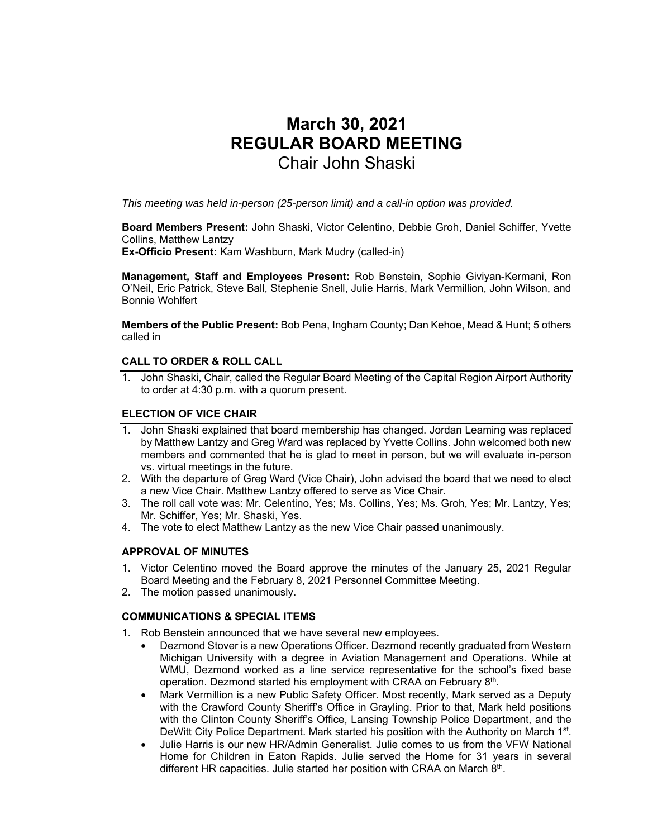# **March 30, 2021 REGULAR BOARD MEETING**  Chair John Shaski

*This meeting was held in-person (25-person limit) and a call-in option was provided.* 

**Board Members Present:** John Shaski, Victor Celentino, Debbie Groh, Daniel Schiffer, Yvette Collins, Matthew Lantzy

**Ex-Officio Present:** Kam Washburn, Mark Mudry (called-in)

**Management, Staff and Employees Present:** Rob Benstein, Sophie Giviyan-Kermani, Ron O'Neil, Eric Patrick, Steve Ball, Stephenie Snell, Julie Harris, Mark Vermillion, John Wilson, and Bonnie Wohlfert

**Members of the Public Present:** Bob Pena, Ingham County; Dan Kehoe, Mead & Hunt; 5 others called in

# **CALL TO ORDER & ROLL CALL**

1. John Shaski, Chair, called the Regular Board Meeting of the Capital Region Airport Authority to order at 4:30 p.m. with a quorum present.

# **ELECTION OF VICE CHAIR**

- 1. John Shaski explained that board membership has changed. Jordan Leaming was replaced by Matthew Lantzy and Greg Ward was replaced by Yvette Collins. John welcomed both new members and commented that he is glad to meet in person, but we will evaluate in-person vs. virtual meetings in the future.
- 2. With the departure of Greg Ward (Vice Chair), John advised the board that we need to elect a new Vice Chair. Matthew Lantzy offered to serve as Vice Chair.
- 3. The roll call vote was: Mr. Celentino, Yes; Ms. Collins, Yes; Ms. Groh, Yes; Mr. Lantzy, Yes; Mr. Schiffer, Yes; Mr. Shaski, Yes.
- 4. The vote to elect Matthew Lantzy as the new Vice Chair passed unanimously.

# **APPROVAL OF MINUTES**

- 1. Victor Celentino moved the Board approve the minutes of the January 25, 2021 Regular Board Meeting and the February 8, 2021 Personnel Committee Meeting.
- 2. The motion passed unanimously.

# **COMMUNICATIONS & SPECIAL ITEMS**

- 1. Rob Benstein announced that we have several new employees.
	- Dezmond Stover is a new Operations Officer. Dezmond recently graduated from Western Michigan University with a degree in Aviation Management and Operations. While at WMU, Dezmond worked as a line service representative for the school's fixed base operation. Dezmond started his employment with CRAA on February 8th.
	- Mark Vermillion is a new Public Safety Officer. Most recently, Mark served as a Deputy with the Crawford County Sheriff's Office in Grayling. Prior to that, Mark held positions with the Clinton County Sheriff's Office, Lansing Township Police Department, and the DeWitt City Police Department. Mark started his position with the Authority on March 1<sup>st</sup>.
	- Julie Harris is our new HR/Admin Generalist. Julie comes to us from the VFW National Home for Children in Eaton Rapids. Julie served the Home for 31 years in several different HR capacities. Julie started her position with CRAA on March 8th.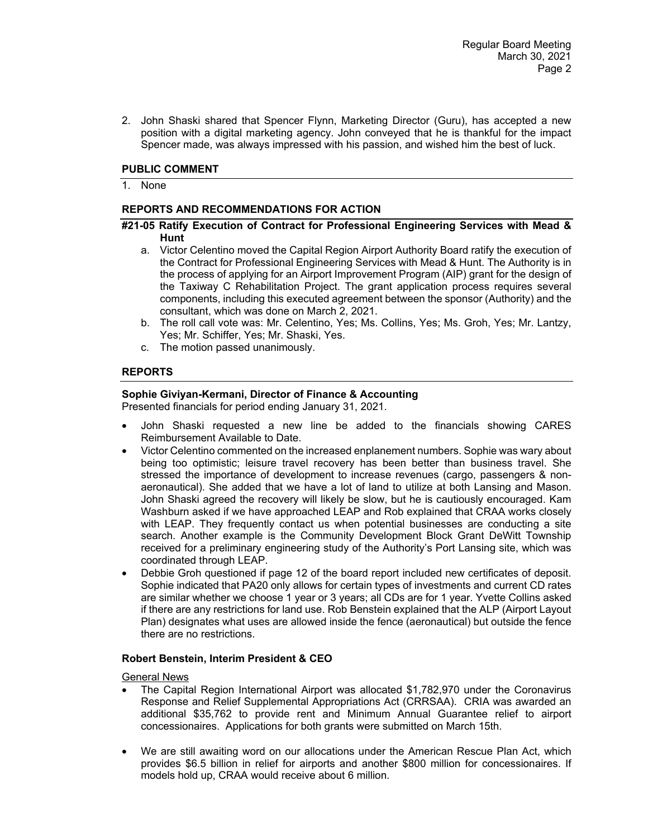2. John Shaski shared that Spencer Flynn, Marketing Director (Guru), has accepted a new position with a digital marketing agency. John conveyed that he is thankful for the impact Spencer made, was always impressed with his passion, and wished him the best of luck.

## **PUBLIC COMMENT**

1. None

## **REPORTS AND RECOMMENDATIONS FOR ACTION**

#### **#21-05 Ratify Execution of Contract for Professional Engineering Services with Mead & Hunt**

- a. Victor Celentino moved the Capital Region Airport Authority Board ratify the execution of the Contract for Professional Engineering Services with Mead & Hunt. The Authority is in the process of applying for an Airport Improvement Program (AIP) grant for the design of the Taxiway C Rehabilitation Project. The grant application process requires several components, including this executed agreement between the sponsor (Authority) and the consultant, which was done on March 2, 2021.
- b. The roll call vote was: Mr. Celentino, Yes; Ms. Collins, Yes; Ms. Groh, Yes; Mr. Lantzy, Yes; Mr. Schiffer, Yes; Mr. Shaski, Yes.
- c. The motion passed unanimously.

## **REPORTS**

### **Sophie Giviyan-Kermani, Director of Finance & Accounting**

Presented financials for period ending January 31, 2021.

- John Shaski requested a new line be added to the financials showing CARES Reimbursement Available to Date.
- Victor Celentino commented on the increased enplanement numbers. Sophie was wary about being too optimistic; leisure travel recovery has been better than business travel. She stressed the importance of development to increase revenues (cargo, passengers & nonaeronautical). She added that we have a lot of land to utilize at both Lansing and Mason. John Shaski agreed the recovery will likely be slow, but he is cautiously encouraged. Kam Washburn asked if we have approached LEAP and Rob explained that CRAA works closely with LEAP. They frequently contact us when potential businesses are conducting a site search. Another example is the Community Development Block Grant DeWitt Township received for a preliminary engineering study of the Authority's Port Lansing site, which was coordinated through LEAP.
- Debbie Groh questioned if page 12 of the board report included new certificates of deposit. Sophie indicated that PA20 only allows for certain types of investments and current CD rates are similar whether we choose 1 year or 3 years; all CDs are for 1 year. Yvette Collins asked if there are any restrictions for land use. Rob Benstein explained that the ALP (Airport Layout Plan) designates what uses are allowed inside the fence (aeronautical) but outside the fence there are no restrictions.

#### **Robert Benstein, Interim President & CEO**

General News

- The Capital Region International Airport was allocated \$1,782,970 under the Coronavirus Response and Relief Supplemental Appropriations Act (CRRSAA). CRIA was awarded an additional \$35,762 to provide rent and Minimum Annual Guarantee relief to airport concessionaires. Applications for both grants were submitted on March 15th.
- We are still awaiting word on our allocations under the American Rescue Plan Act, which provides \$6.5 billion in relief for airports and another \$800 million for concessionaires. If models hold up, CRAA would receive about 6 million.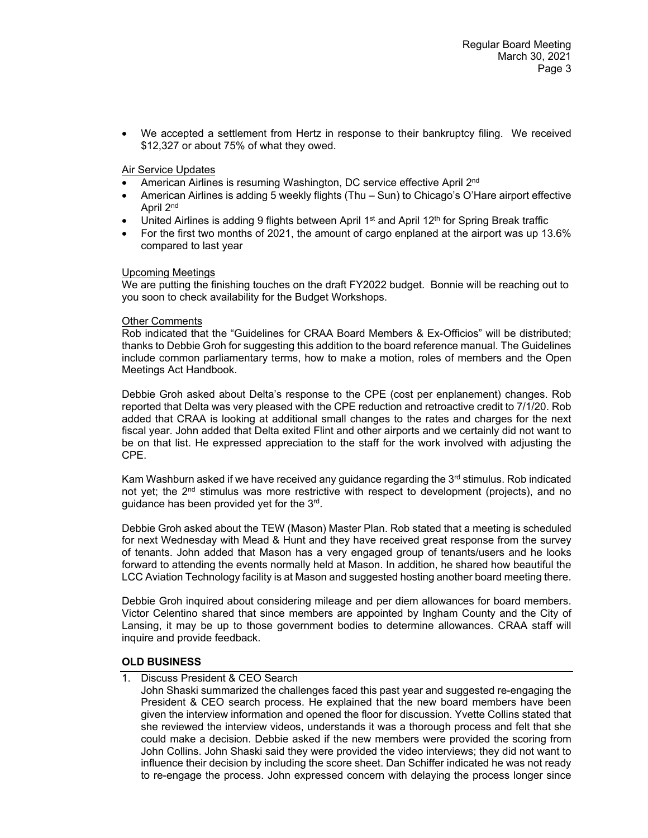• We accepted a settlement from Hertz in response to their bankruptcy filing. We received \$12,327 or about 75% of what they owed.

## Air Service Updates

- American Airlines is resuming Washington, DC service effective April 2<sup>nd</sup>
- American Airlines is adding 5 weekly flights (Thu Sun) to Chicago's O'Hare airport effective April 2nd
- United Airlines is adding 9 flights between April  $1<sup>st</sup>$  and April 12<sup>th</sup> for Spring Break traffic
- For the first two months of 2021, the amount of cargo enplaned at the airport was up 13.6% compared to last year

## Upcoming Meetings

We are putting the finishing touches on the draft FY2022 budget. Bonnie will be reaching out to you soon to check availability for the Budget Workshops.

#### Other Comments

Rob indicated that the "Guidelines for CRAA Board Members & Ex-Officios" will be distributed; thanks to Debbie Groh for suggesting this addition to the board reference manual. The Guidelines include common parliamentary terms, how to make a motion, roles of members and the Open Meetings Act Handbook.

Debbie Groh asked about Delta's response to the CPE (cost per enplanement) changes. Rob reported that Delta was very pleased with the CPE reduction and retroactive credit to 7/1/20. Rob added that CRAA is looking at additional small changes to the rates and charges for the next fiscal year. John added that Delta exited Flint and other airports and we certainly did not want to be on that list. He expressed appreciation to the staff for the work involved with adjusting the CPE.

Kam Washburn asked if we have received any guidance regarding the  $3<sup>rd</sup>$  stimulus. Rob indicated not yet; the 2<sup>nd</sup> stimulus was more restrictive with respect to development (projects), and no guidance has been provided yet for the 3rd.

Debbie Groh asked about the TEW (Mason) Master Plan. Rob stated that a meeting is scheduled for next Wednesday with Mead & Hunt and they have received great response from the survey of tenants. John added that Mason has a very engaged group of tenants/users and he looks forward to attending the events normally held at Mason. In addition, he shared how beautiful the LCC Aviation Technology facility is at Mason and suggested hosting another board meeting there.

Debbie Groh inquired about considering mileage and per diem allowances for board members. Victor Celentino shared that since members are appointed by Ingham County and the City of Lansing, it may be up to those government bodies to determine allowances. CRAA staff will inquire and provide feedback.

## **OLD BUSINESS**

1. Discuss President & CEO Search

John Shaski summarized the challenges faced this past year and suggested re-engaging the President & CEO search process. He explained that the new board members have been given the interview information and opened the floor for discussion. Yvette Collins stated that she reviewed the interview videos, understands it was a thorough process and felt that she could make a decision. Debbie asked if the new members were provided the scoring from John Collins. John Shaski said they were provided the video interviews; they did not want to influence their decision by including the score sheet. Dan Schiffer indicated he was not ready to re-engage the process. John expressed concern with delaying the process longer since